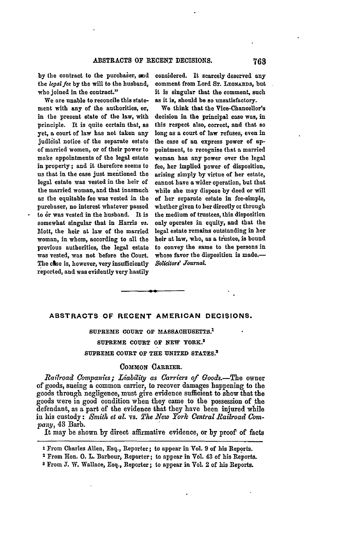**by** the contract to the purchaier, and the *legal fee* **by** the will to the husband, who joined in the contract."

We are unable to reconcile this statement with any of the authorities, or, in the present state of the law, with principle. It is quite certain that, as yet, a court of law has not taken any judicial notice of the separate estate of married women, or of their power to make appointments of the legal estate in property; and it therefore seems to us that in the case just mentioned the legal estate was vested in the heir of the married woman, and that inasmuch as the equitable fee was vested in the purchaser, no interest whatever passed to or was vested in the husband. It is somewhat singular that in Harris *vs.* Mott, the heir at law of the married woman, in whom, according to **all** the previous authorities, the legal estate was vested, was not before the Court. The case is, however, very insufficiently reported, and was evidently very hastily

considered. It scarcely deserved any comment from Lord Sr. LEONARDS, but it is singular that the comment, such as it is, should be so unsatisfactory.

We think that the Vice-Chancellor's decision in the principal case was, in this respect also, correct, **and** that so long as a court of law refuses, even in the case of an express power of **ap**pointment, to recognise that **a** married woman has any power over the legal fee, her implied power of disposition, arising simply **by** virtue of her estate, cannot have a wider operation, but that while she may dispose **by** deed or will of her separate estate in fee-simple, whether given to her directly ox through the medium of trustees, this disposition only operates in equity, and that the legal estate remains outstanding in her heir at law, who, as a **tiustee,** is bound to convey the same to the persons in whose favor the disposition is made.-Solicitors' Journal.

# **ABSTRACTS OF RECENT AMERICAN DECISIONS.**

# **SUPREME COURT OF MASSACHUSETTs. <sup>1</sup> SUPREME COURT OF NEW YORK. <sup>2</sup>**

## **SUPREME COURT** OF **THE UNITED STATES <sup>s</sup>**

## **COMMON** CARRIER.

*Railroad Companies; Liabi7ity as Carriers of Goods.-The* owner of goods, sueing a common carrier, to recover damages happening to the goods through negligence, must give evidence sufficient to show that the goods were in good condition when they came to the possession of the defendant, as a part of the evidence that they have been injured while in his custody: *Smith et al. vs. The New York Central Railroad* **Com***pany,* 43 Barb.

It may be shown **by** direct affirmative evidence, or **by** proof of facts

**8** From **J.** W. Wallace, Esq., Reporter; to appear in Vol 2 of his Reports.

**<sup>1</sup>**From Charles Allen, Esq., Reporter; to appear in Vol. **9** of his Reports.

<sup>2</sup> From Hon. **0.** L. Barbour, Reporter; to appear in Vol. 43 of his Reports.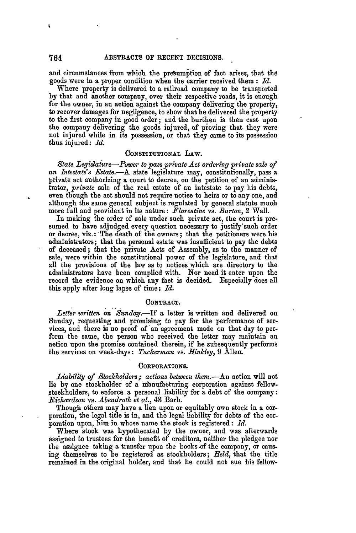and circumstances from which the presumption of fact arises, that the goods were in a proper condition when the carrier received them **:** *Id.*

Where property is delivered to a railroad company to be transported **by** that and another company, over their respective roads, it is enough for the owner, in an action against the company delivering the property, to recover damages for negligence, to show that be delivered the property to the first company in good order; and the burthen is then cast upon the company delivering the goods injured, of proving that they were not injured while in its possession, or that they came to its possession thus injured: *1d.*

#### **CONSTITUTIONAL LAW.**

*State Legislature-Power to pass private Act ordering private sale of an Intestate's .Estate.-A* state legislature may, constitutionally, pass a private act authorizing a court **to** decree, on the petition of an administrator, *private* sale of the real estate of an intestate to pay his debts, even though the act should not require notice to heirs or to any one, and although the same general subject is regulated by general statute much more full and provident in its nature: *Florentine* vs. *Barton,* 2 Wall.

In making the order of sale under such private act, the court is presumed to have adjudged every question necessary to justify'such order or decree, viz.: **.**The death of the owners; that the petitioners were his administrators; that the personal estate was insufficient to pay the debts of deceased; that the private Acts of Assembly, as to the manner of sale, were within the constitutional power of the legislature, and that all the provisions of the law as to notices which are directory to the administrators have been complied with. Nor need it enter upon the record the evidence on which any fact is decided. Especially does all this apply after long lapse of time: *Id.*

#### **CONTRACT.**

*Letter written on Sunday.-If* a letter is written and delivered on Sunday, requesting and promising to pay for the performance of services, and there is no proof of an agreement made on that day to perform the same, the person who received the letter may maintain an action upon the promise contained therein, if he subsequently performs the services on week-days: *Tuckerman* vs. *Hinkley*, 9 Allen.

## **CORPORATIONS.**

Liability of Stockholders; actions between them.—An action will not lie by one stockholder of a manufacturing corporation against fellow-Stockholders, to enforce **a** personal liability for a debt of the company: *Richardson vs. Abendroth et al., 43 Barb.* 

Though others may have a lien upon or equitably own stock in **a** corporation, the legal title is in, and the legal liability for debts of the corporation upon, him in whose name the stock is registered: *Id.*

Where stock was hypothecated by the owner, and was afterwards assigned to trustees for the benefit of creditors, neither the pledgee nor the assignee taking a transfer upon the books of the company, or causing themselves to be registered as stockholders; *Held,* that the title remained in the original holder, and that he could not sue his fellow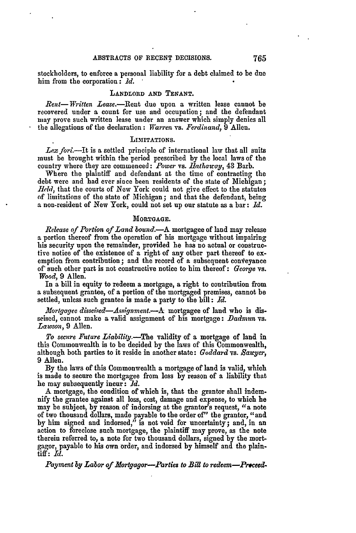stockholders, to enforce a personal liability for a debt claimed to be due him from the corporation: *Id.*

# LANDLORD **AND TENANT.**

*Rent-Written Lease.-Rient* due upon a written lease cannot be recovered under a count for use and occupation; and the defendant may prove such written lease under an answer which simply denies all the allegations of the declaration: *Warren* vs. *Ferdinand,* **9** Allen.

## LIMITATIONS.

Lex fori.—It is a settled principle of international law that all suits must be brought within the period prescribed **by** the local laws of the country where they are commenced: *Power* vs. *flathawc y,* 43 Barb.

Where the plaintiff and defendant at the time of contracting the debt were and had ever since been residents of the state of Michigan; *Erid,* that the courts of New York could not give effect to the statutes of limitations of the state of Michigan; and that the defendant, being **a** non-resident of New York, could not set up our statute as a bar: *Id.*

## **MORTGAGE.**

*Release of Portion of Land bound.-A* mortgagee of land may release **a** portion thereof from the operation of his mortgage without impairing his security upon the remainder, provided be has no actual or constructive notice of the existence of a right of any other part thereof to exemption from contribution; and the record of a subsequent conveyance of such other part is not constructive notice to him thereof: *George* vs. *Wood,* **9** Allen.

In a bill in equity to redeem a mortgage, a right to contribution from a subsequent grantee, of a portion of the mortgaged premises, cannot be settled, unless such grantee is made a party to the bill: *Id.*

*Mortgagee disseised-Assignment.--A* mortgagee of land who is disseised, cannot make a valid assignment of his mortgage: *Dadmun* vs. *Lawson,* 9 Allen.

*To secure Future Liability.-The* validity of a mortgage of land in this Commonwealth is to be decided by the laws of this Commonwealth, although both parties to it reside in another state: *Goddard* vs. *Bawer,* 9 Allen.

**By** the laws of this Commonwealth a mortgage of land is valid, which is made to secure the mortgagee from loss **by** reason of a liability that he may subsequently **incur:** *.d.*

**A** mortgage, the condition of which is, that the grantor shall indemnify the grantee against all loss, cost, damage and expense, to which he may be subject, **by** reason of indorsing at the grantor's request, "a note of two thousand dollars, made payable to the order of" the grantor, "and **by** him signed and indorsed," is not void for uncertainty; and, in an action to foreclose such mortgage, the plaintiff may prove, as the note therein referred to, a note for two thousand dollars, signed **by** the mortgagor, payable to his own order, and indorsed **by** himself and the plaintiff: *Id.*

*Payment* **by** *Labor of Mortgagor-Parties to Bill to redeem-.PrceeZ*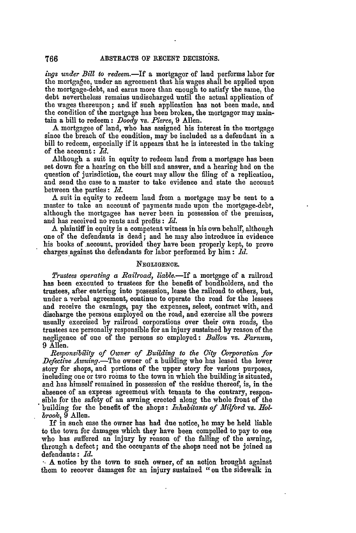*iugs under Bill to redeem.-If* a mortgagor of land performs labor for the mortgagee, under an agreement that his wages shall be applied upon the mortgage-debt, and earns more than enough to satisfy the same, the debt nevertheless remains undischarged until the actual application of the wages thereupon; and if such application has not been made, and the condition of the mortgage has been broken, the mortgagor may maintain a bill to redeem: *Doody* vs. *Pierce,* 9 Allen.

A mortgagee of land, who has assigned his interest in the mortgage since the breach of the condition, may be included as a defendant in a bill to redeem, especially if it appears that he is interested in the taking of the account: *Id.*

Although a suit in equity to redeem land from a mortgage has been set down for a hearing on the bill and answer, and a hearing had on the question of jurisdiction, the court may allow the filing of a replication, and send the case to a master to take evidence and state the account between the parties: *Id.*

A suit in equity to redeem land from a mortgage may be sent to a master to take an account of payments made upon the mortgage-debt, although the mortgagee has never been in possession of the premises, and has received no rents and profits: *Id.*

A plaintiff in equity is a competent witness in his own behalf, although one of the defendants is dead; and he may also introduce in evidence his books of .account, provided they have been properly kept, to prove charges against the defendants for labor performed by him: *Id.* 

#### **NEGLIGENCE.**

*Trustees operating a Railroad, liable.-If* a mortgage of a railroad has been executed to trustees for the benefit of bondholders, and the trustees, after entering into possession, lease the railroad to others, but, under a verbal agreement, continue to operate the road for the lessees and receive the earnings, pay the expenses, select, contract with, and discharge the persons employed on the road, and exercise all the powers usually exercised by railroad corporations over their own roads, the trustees are personally responsible for an injury sustained **by** reason of the negligence of one of the persons so employed: *Ballou* vs. *Farnum,* 9 Allen.

*Re.ponsibziltll of Owner of Buiding to the City Co poration for Defective Awning.-The* owner of a building who has leased the lower story for shops, and portions of the upper story for various purposes, including one or two rooms to the town in which the building is situated, and has himself remained in possession of the residue thereof, is, in the absence of an express agreemeut with tenants to the contrary, responsible for the safety of an awning erected along the whole front of the building for the benefit of the shops **:** *Inhabitants of Milford* vs. *Holbrook,* 9 Allen.

If in such case the owner has had due notice, he may be held liable to the town for damages which they have been compelled to pay to one who has suffered an injury **by** reason of the falling of the awning, through a defect; and the occupants of the shops need not be joined as defendants **:** *Id.* **•** A notice **by** the town to such owner, of an action brought against

them to recover damages for an injury sustained "on the sidewalk in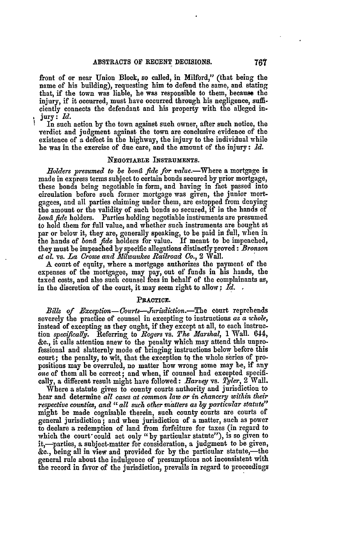front of or near Union Block, so called, in Milford," (that being the name of his building), requesting him to defend the same, and stating that, if the town was liable, he was responsible to them, because the injury, if it occurred, must have occurred through his negligence, sufficiently connects the defendant and his property with the alleged in**jury:** *Id.*

In such action **by** the town against such owner, after such notice, the verdict and judgment against the town are conclusive evidence of the existence of a defect in the highway, the injury to the individual while he was in the exercise of due care, and the amount of the injury: *Id.*

## **NEGOTIABLE INSTRUMENTS.**

*.Holders presumed to be bond fide for value.-Where* a mortgage is made in express terms subject to certain bonds secured by prior mortgage, these bonds being negotiable in form, and having in fact passed into circulation before such former mortgage was given, the junior mortgagees, and all parties claiming under them, are estopped from denying the amount or the validity of such bonds so secured, if in the hands of *bond fide* holders. Parties holding negotiable instruments are presumed to hold them for full value, and whether such instruments are bought at par or below it, they are, generally speaking, to be paid in full, when in the hands of *bond fide* holders for value. If meant to **be** impeached, they must be impeached **by** specific allegations distinctly proved: *Bronson et aL* vs. *La Crosse and Milwaukee Railroad Co.,* **2** Wall.

A court of equity, where a mortgage authorizes the payment of the expenses of the mortgagee, may pay, out of funds in his hands, the taxed costs, and also such counsel fees in behalf of the complainants as, in the discretion of the court, it may seem right to allow; *Id.*

#### **PRACTICE.**

Bills of Exception-Courts-Jurisdiction.-The court reprehends severely the practice of counsel in excepting to instructions *as a whole,* instead of excepting as they ought, if they except at all, to each instruction *specifically.* Referring to *Rogers* vs. *The Marshal,* 1 **Wall.** 644, **&e.,** it calls attention anew **to** the penalty which may attend this unprofessional and slatternly mode of bringing instructions below before this court; the penalty, to wit, that the exception to the whole series of propositions may be overruled, no matter how wrong some may be, if any *one* of them all be correct; and when, if counsel had excepted specifically, a different result might have followed: *Earvey* vs. *Tyler,* 2 Wall.

Where a statute gives to county courts authority and jurisdiction to hear and determine *all cases at common law or in chancery within their respective counties, and "all such other matters as by particular statute"* might be made cognisable therein, such county courts are courts of general jurisdiction; and when jurisdiction of a matter, such as power to declare a redemption of land from forfeiture for taxes (in regard to which the court could act only "by particular statute"), is so given to it,-parties, a subject-matter for consideration, a judgment to be given, **&a.,** being all in view and provided for **by** the particular statute,-the general rule about the indulgence of presumptions not inconsistent with the record in favor of the jurisdiction, prevails in regard to proceedings